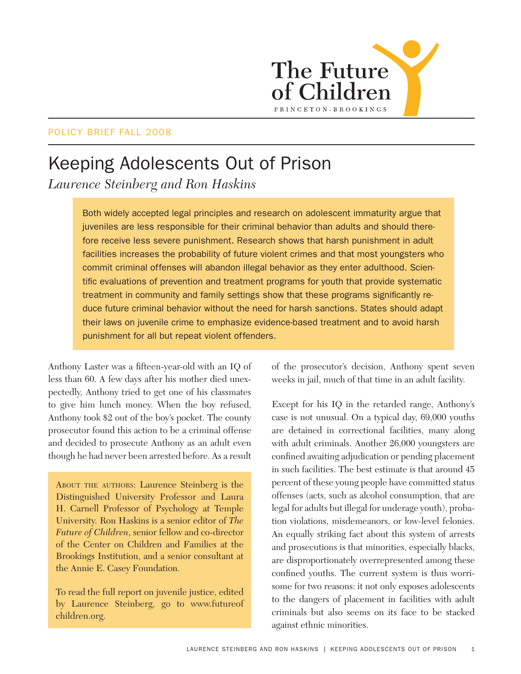

### POLICY BRIEF FALL 2008

# Keeping Adolescents Out of Prison

*Laurence Steinberg and Ron Haskins*

Both widely accepted legal principles and research on adolescent immaturity argue that juveniles are less responsible for their criminal behavior than adults and should therefore receive less severe punishment. Research shows that harsh punishment in adult facilities increases the probability of future violent crimes and that most youngsters who commit criminal offenses will abandon illegal behavior as they enter adulthood. Scientific evaluations of prevention and treatment programs for youth that provide systematic treatment in community and family settings show that these programs significantly reduce future criminal behavior without the need for harsh sanctions. States should adapt their laws on juvenile crime to emphasize evidence-based treatment and to avoid harsh punishment for all but repeat violent offenders.

Anthony Laster was a fifteen-year-old with an IQ of less than 60. A few days after his mother died unexpectedly, Anthony tried to get one of his classmates to give him lunch money. When the boy refused, Anthony took \$2 out of the boy's pocket. The county prosecutor found this action to be a criminal offense and decided to prosecute Anthony as an adult even though he had never been arrested before. As a result

About the authors: Laurence Steinberg is the Distinguished University Professor and Laura H. Carnell Professor of Psychology at Temple University. Ron Haskins is a senior editor of *The Future of Children*, senior fellow and co-director of the Center on Children and Families at the Brookings Institution, and a senior consultant at the Annie E. Casey Foundation.

To read the full report on juvenile justice, edited by Laurence Steinberg, go to www.futureof children.org.

of the prosecutor's decision, Anthony spent seven weeks in jail, much of that time in an adult facility.

Except for his IQ in the retarded range, Anthony's case is not unusual. On a typical day, 69,000 youths are detained in correctional facilities, many along with adult criminals. Another 26,000 youngsters are confined awaiting adjudication or pending placement in such facilities. The best estimate is that around 45 percent of these young people have committed status offenses (acts, such as alcohol consumption, that are legal for adults but illegal for underage youth), probation violations, misdemeanors, or low-level felonies. An equally striking fact about this system of arrests and prosecutions is that minorities, especially blacks, are disproportionately overrepresented among these confined youths. The current system is thus worrisome for two reasons: it not only exposes adolescents to the dangers of placement in facilities with adult criminals but also seems on its face to be stacked against ethnic minorities.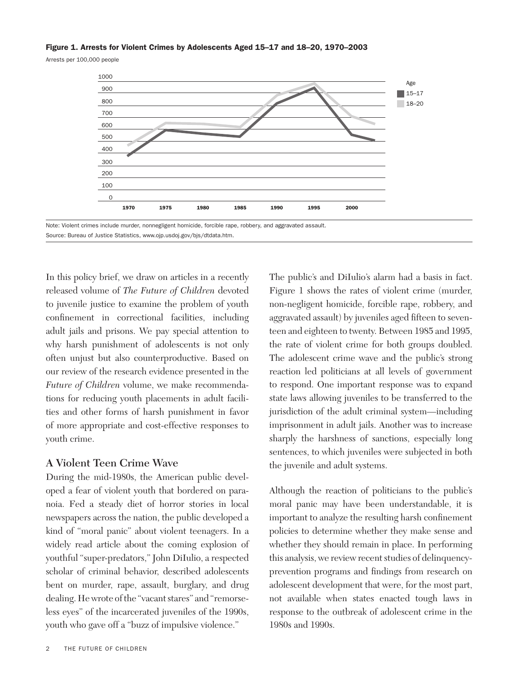#### Figure 1. Arrests for Violent Crimes by Adolescents Aged 15–17 and 18–20, 1970–2003

Arrests per 100,000 people



Note: Violent crimes include murder, nonnegligent homicide, forcible rape, robbery, and aggravated assault. Source: Bureau of Justice Statistics, www.ojp.usdoj.gov/bjs/dtdata.htm.

In this policy brief, we draw on articles in a recently released volume of *The Future of Children* devoted to juvenile justice to examine the problem of youth confinement in correctional facilities, including adult jails and prisons. We pay special attention to why harsh punishment of adolescents is not only often unjust but also counterproductive. Based on our review of the research evidence presented in the *Future of Children* volume, we make recommendations for reducing youth placements in adult facilities and other forms of harsh punishment in favor of more appropriate and cost-effective responses to youth crime.

### **A Violent Teen Crime Wave**

During the mid-1980s, the American public developed a fear of violent youth that bordered on paranoia. Fed a steady diet of horror stories in local newspapers across the nation, the public developed a kind of "moral panic" about violent teenagers. In a widely read article about the coming explosion of youthful "super-predators," John DiIulio, a respected scholar of criminal behavior, described adolescents bent on murder, rape, assault, burglary, and drug dealing. He wrote of the "vacant stares" and "remorseless eyes" of the incarcerated juveniles of the 1990s, youth who gave off a "buzz of impulsive violence."

The public's and DiIulio's alarm had a basis in fact. Figure 1 shows the rates of violent crime (murder, non-negligent homicide, forcible rape, robbery, and aggravated assault) by juveniles aged fifteen to seventeen and eighteen to twenty. Between 1985 and 1995, the rate of violent crime for both groups doubled. The adolescent crime wave and the public's strong reaction led politicians at all levels of government to respond. One important response was to expand state laws allowing juveniles to be transferred to the jurisdiction of the adult criminal system—including imprisonment in adult jails. Another was to increase sharply the harshness of sanctions, especially long sentences, to which juveniles were subjected in both the juvenile and adult systems.

Although the reaction of politicians to the public's moral panic may have been understandable, it is important to analyze the resulting harsh confinement policies to determine whether they make sense and whether they should remain in place. In performing this analysis, we review recent studies of delinquencyprevention programs and findings from research on adolescent development that were, for the most part, not available when states enacted tough laws in response to the outbreak of adolescent crime in the 1980s and 1990s.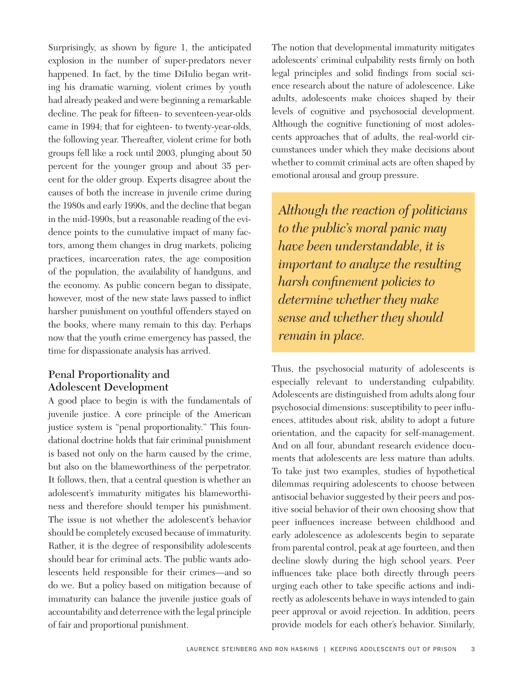Surprisingly, as shown by figure 1, the anticipated explosion in the number of super-predators never happened. In fact, by the time DiIulio began writing his dramatic warning, violent crimes by youth had already peaked and were beginning a remarkable decline. The peak for fifteen- to seventeen-year-olds came in 1994; that for eighteen- to twenty-year-olds, the following year. Thereafter, violent crime for both groups fell like a rock until 2003, plunging about 50 percent for the younger group and about 35 percent for the older group. Experts disagree about the causes of both the increase in juvenile crime during the 1980s and early 1990s, and the decline that began in the mid-1990s, but a reasonable reading of the evidence points to the cumulative impact of many factors, among them changes in drug markets, policing practices, incarceration rates, the age composition of the population, the availability of handguns, and the economy. As public concern began to dissipate, however, most of the new state laws passed to inflict harsher punishment on youthful offenders stayed on the books, where many remain to this day. Perhaps now that the youth crime emergency has passed, the time for dispassionate analysis has arrived.

## **Penal Proportionality and Adolescent Development**

A good place to begin is with the fundamentals of juvenile justice. A core principle of the American justice system is "penal proportionality." This foundational doctrine holds that fair criminal punishment is based not only on the harm caused by the crime, but also on the blameworthiness of the perpetrator. It follows, then, that a central question is whether an adolescent's immaturity mitigates his blameworthiness and therefore should temper his punishment. The issue is not whether the adolescent's behavior should be completely excused because of immaturity. Rather, it is the degree of responsibility adolescents should bear for criminal acts. The public wants adolescents held responsible for their crimes—and so do we. But a policy based on mitigation because of immaturity can balance the juvenile justice goals of accountability and deterrence with the legal principle of fair and proportional punishment.

The notion that developmental immaturity mitigates adolescents' criminal culpability rests firmly on both legal principles and solid findings from social science research about the nature of adolescence. Like adults, adolescents make choices shaped by their levels of cognitive and psychosocial development. Although the cognitive functioning of most adolescents approaches that of adults, the real-world circumstances under which they make decisions about whether to commit criminal acts are often shaped by emotional arousal and group pressure.

*Although the reaction of politicians to the public's moral panic may have been understandable, it is important to analyze the resulting harsh confinement policies to determine whether they make sense and whether they should remain in place.*

Thus, the psychosocial maturity of adolescents is especially relevant to understanding culpability. Adolescents are distinguished from adults along four psychosocial dimensions: susceptibility to peer influences, attitudes about risk, ability to adopt a future orientation, and the capacity for self-management. And on all four, abundant research evidence documents that adolescents are less mature than adults. To take just two examples, studies of hypothetical dilemmas requiring adolescents to choose between antisocial behavior suggested by their peers and positive social behavior of their own choosing show that peer influences increase between childhood and early adolescence as adolescents begin to separate from parental control, peak at age fourteen, and then decline slowly during the high school years. Peer influences take place both directly through peers urging each other to take specific actions and indirectly as adolescents behave in ways intended to gain peer approval or avoid rejection. In addition, peers provide models for each other's behavior. Similarly,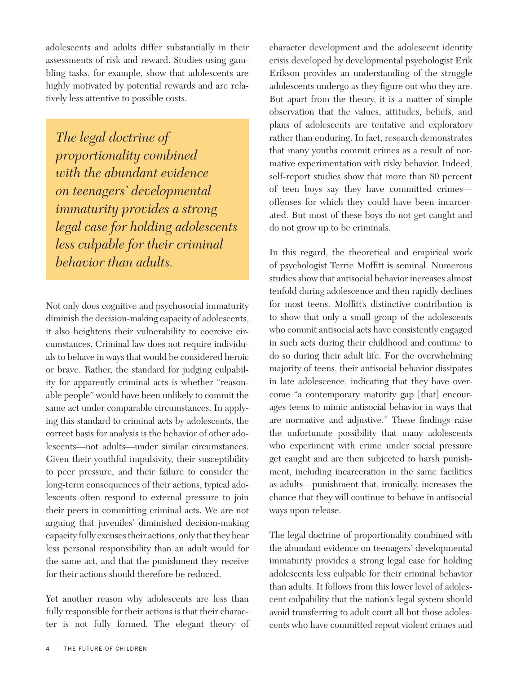adolescents and adults differ substantially in their assessments of risk and reward. Studies using gambling tasks, for example, show that adolescents are highly motivated by potential rewards and are relatively less attentive to possible costs.

*The legal doctrine of proportionality combined with the abundant evidence on teenagers' developmental immaturity provides a strong legal case for holding adolescents less culpable for their criminal behavior than adults.*

Not only does cognitive and psychosocial immaturity diminish the decision-making capacity of adolescents, it also heightens their vulnerability to coercive circumstances. Criminal law does not require individuals to behave in ways that would be considered heroic or brave. Rather, the standard for judging culpability for apparently criminal acts is whether "reasonable people" would have been unlikely to commit the same act under comparable circumstances. In applying this standard to criminal acts by adolescents, the correct basis for analysis is the behavior of other adolescents—not adults—under similar circumstances. Given their youthful impulsivity, their susceptibility to peer pressure, and their failure to consider the long-term consequences of their actions, typical adolescents often respond to external pressure to join their peers in committing criminal acts. We are not arguing that juveniles' diminished decision-making capacity fully excuses their actions, only that they bear less personal responsibility than an adult would for the same act, and that the punishment they receive for their actions should therefore be reduced.

Yet another reason why adolescents are less than fully responsible for their actions is that their character is not fully formed. The elegant theory of character development and the adolescent identity crisis developed by developmental psychologist Erik Erikson provides an understanding of the struggle adolescents undergo as they figure out who they are. But apart from the theory, it is a matter of simple observation that the values, attitudes, beliefs, and plans of adolescents are tentative and exploratory rather than enduring. In fact, research demonstrates that many youths commit crimes as a result of normative experimentation with risky behavior. Indeed, self-report studies show that more than 80 percent of teen boys say they have committed crimes offenses for which they could have been incarcerated. But most of these boys do not get caught and do not grow up to be criminals.

In this regard, the theoretical and empirical work of psychologist Terrie Moffitt is seminal. Numerous studies show that antisocial behavior increases almost tenfold during adolescence and then rapidly declines for most teens. Moffitt's distinctive contribution is to show that only a small group of the adolescents who commit antisocial acts have consistently engaged in such acts during their childhood and continue to do so during their adult life. For the overwhelming majority of teens, their antisocial behavior dissipates in late adolescence, indicating that they have overcome "a contemporary maturity gap [that] encourages teens to mimic antisocial behavior in ways that are normative and adjustive." These findings raise the unfortunate possibility that many adolescents who experiment with crime under social pressure get caught and are then subjected to harsh punishment, including incarceration in the same facilities as adults—punishment that, ironically, increases the chance that they will continue to behave in antisocial ways upon release.

The legal doctrine of proportionality combined with the abundant evidence on teenagers' developmental immaturity provides a strong legal case for holding adolescents less culpable for their criminal behavior than adults. It follows from this lower level of adolescent culpability that the nation's legal system should avoid transferring to adult court all but those adolescents who have committed repeat violent crimes and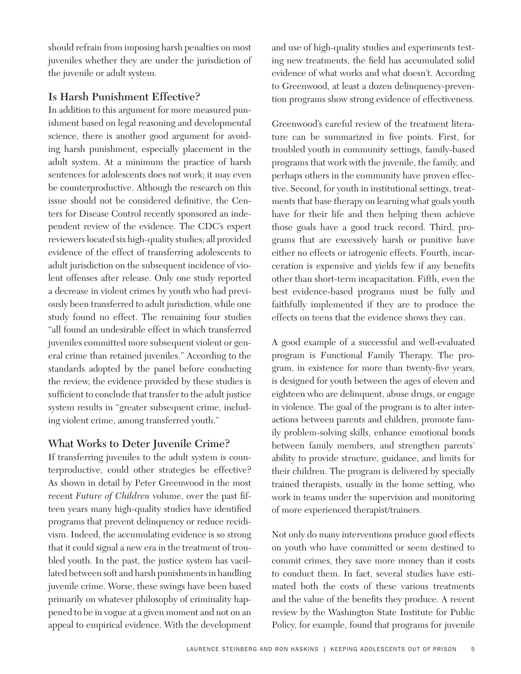should refrain from imposing harsh penalties on most juveniles whether they are under the jurisdiction of the juvenile or adult system.

# **Is Harsh Punishment Effective?**

In addition to this argument for more measured punishment based on legal reasoning and developmental science, there is another good argument for avoiding harsh punishment, especially placement in the adult system. At a minimum the practice of harsh sentences for adolescents does not work; it may even be counterproductive. Although the research on this issue should not be considered definitive, the Centers for Disease Control recently sponsored an independent review of the evidence. The CDC's expert reviewers located six high-quality studies; all provided evidence of the effect of transferring adolescents to adult jurisdiction on the subsequent incidence of violent offenses after release. Only one study reported a decrease in violent crimes by youth who had previously been transferred to adult jurisdiction, while one study found no effect. The remaining four studies "all found an undesirable effect in which transferred juveniles committed more subsequent violent or general crime than retained juveniles." According to the standards adopted by the panel before conducting the review, the evidence provided by these studies is sufficient to conclude that transfer to the adult justice system results in "greater subsequent crime, including violent crime, among transferred youth."

# **What Works to Deter Juvenile Crime?**

If transferring juveniles to the adult system is counterproductive, could other strategies be effective? As shown in detail by Peter Greenwood in the most recent *Future of Children* volume, over the past fifteen years many high-quality studies have identified programs that prevent delinquency or reduce recidivism. Indeed, the accumulating evidence is so strong that it could signal a new era in the treatment of troubled youth. In the past, the justice system has vacillated between soft and harsh punishments in handling juvenile crime. Worse, these swings have been based primarily on whatever philosophy of criminality happened to be in vogue at a given moment and not on an appeal to empirical evidence. With the development and use of high-quality studies and experiments testing new treatments, the field has accumulated solid evidence of what works and what doesn't. According to Greenwood, at least a dozen delinquency-prevention programs show strong evidence of effectiveness.

Greenwood's careful review of the treatment literature can be summarized in five points. First, for troubled youth in community settings, family-based programs that work with the juvenile, the family, and perhaps others in the community have proven effective. Second, for youth in institutional settings, treatments that base therapy on learning what goals youth have for their life and then helping them achieve those goals have a good track record. Third, programs that are excessively harsh or punitive have either no effects or iatrogenic effects. Fourth, incarceration is expensive and yields few if any benefits other than short-term incapacitation. Fifth, even the best evidence-based programs must be fully and faithfully implemented if they are to produce the effects on teens that the evidence shows they can.

A good example of a successful and well-evaluated program is Functional Family Therapy. The program, in existence for more than twenty-five years, is designed for youth between the ages of eleven and eighteen who are delinquent, abuse drugs, or engage in violence. The goal of the program is to alter interactions between parents and children, promote family problem-solving skills, enhance emotional bonds between family members, and strengthen parents' ability to provide structure, guidance, and limits for their children. The program is delivered by specially trained therapists, usually in the home setting, who work in teams under the supervision and monitoring of more experienced therapist/trainers.

Not only do many interventions produce good effects on youth who have committed or seem destined to commit crimes, they save more money than it costs to conduct them. In fact, several studies have estimated both the costs of these various treatments and the value of the benefits they produce. A recent review by the Washington State Institute for Public Policy, for example, found that programs for juvenile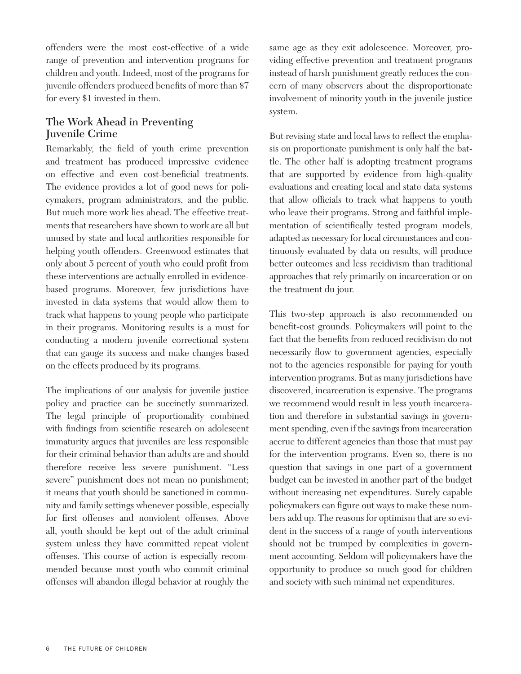offenders were the most cost-effective of a wide range of prevention and intervention programs for children and youth. Indeed, most of the programs for juvenile offenders produced benefits of more than \$7 for every \$1 invested in them.

# **The Work Ahead in Preventing Juvenile Crime**

Remarkably, the field of youth crime prevention and treatment has produced impressive evidence on effective and even cost-beneficial treatments. The evidence provides a lot of good news for policymakers, program administrators, and the public. But much more work lies ahead. The effective treatments that researchers have shown to work are all but unused by state and local authorities responsible for helping youth offenders. Greenwood estimates that only about 5 percent of youth who could profit from these interventions are actually enrolled in evidencebased programs. Moreover, few jurisdictions have invested in data systems that would allow them to track what happens to young people who participate in their programs. Monitoring results is a must for conducting a modern juvenile correctional system that can gauge its success and make changes based on the effects produced by its programs.

The implications of our analysis for juvenile justice policy and practice can be succinctly summarized. The legal principle of proportionality combined with findings from scientific research on adolescent immaturity argues that juveniles are less responsible for their criminal behavior than adults are and should therefore receive less severe punishment. "Less severe" punishment does not mean no punishment; it means that youth should be sanctioned in community and family settings whenever possible, especially for first offenses and nonviolent offenses. Above all, youth should be kept out of the adult criminal system unless they have committed repeat violent offenses. This course of action is especially recommended because most youth who commit criminal offenses will abandon illegal behavior at roughly the

same age as they exit adolescence. Moreover, providing effective prevention and treatment programs instead of harsh punishment greatly reduces the concern of many observers about the disproportionate involvement of minority youth in the juvenile justice system.

But revising state and local laws to reflect the emphasis on proportionate punishment is only half the battle. The other half is adopting treatment programs that are supported by evidence from high-quality evaluations and creating local and state data systems that allow officials to track what happens to youth who leave their programs. Strong and faithful implementation of scientifically tested program models, adapted as necessary for local circumstances and continuously evaluated by data on results, will produce better outcomes and less recidivism than traditional approaches that rely primarily on incarceration or on the treatment du jour.

This two-step approach is also recommended on benefit-cost grounds. Policymakers will point to the fact that the benefits from reduced recidivism do not necessarily flow to government agencies, especially not to the agencies responsible for paying for youth intervention programs. But as many jurisdictions have discovered, incarceration is expensive. The programs we recommend would result in less youth incarceration and therefore in substantial savings in government spending, even if the savings from incarceration accrue to different agencies than those that must pay for the intervention programs. Even so, there is no question that savings in one part of a government budget can be invested in another part of the budget without increasing net expenditures. Surely capable policymakers can figure out ways to make these numbers add up. The reasons for optimism that are so evident in the success of a range of youth interventions should not be trumped by complexities in government accounting. Seldom will policymakers have the opportunity to produce so much good for children and society with such minimal net expenditures.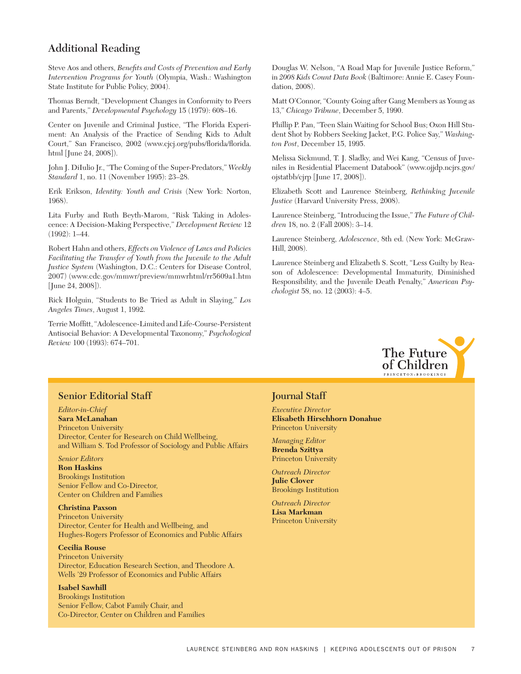### **Additional Reading**

Steve Aos and others, *Benefits and Costs of Prevention and Early Intervention Programs for Youth* (Olympia, Wash.: Washington State Institute for Public Policy, 2004).

Thomas Berndt, "Development Changes in Conformity to Peers and Parents," *Developmental Psychology* 15 (1979): 608–16.

Center on Juvenile and Criminal Justice, "The Florida Experiment: An Analysis of the Practice of Sending Kids to Adult Court," San Francisco, 2002 (www.cjcj.org/pubs/florida/florida. html [June 24, 2008]).

John J. DiIulio Jr., "The Coming of the Super-Predators," *Weekly Standard* 1, no. 11 (November 1995): 23–28.

Erik Erikson, *Identity: Youth and Crisis* (New York: Norton, 1968).

Lita Furby and Ruth Beyth-Marom, "Risk Taking in Adolescence: A Decision-Making Perspective," *Development Review* 12 (1992): 1–44.

Robert Hahn and others, *Effects on Violence of Laws and Policies Facilitating the Transfer of Youth from the Juvenile to the Adult Justice System* (Washington, D.C.: Centers for Disease Control, 2007) (www.cdc.gov/mmwr/preview/mmwrhtml/rr5609a1.htm [June 24, 2008]).

Rick Holguin, "Students to Be Tried as Adult in Slaying," *Los Angeles Times*, August 1, 1992.

Terrie Moffitt, "Adolescence-Limited and Life-Course-Persistent Antisocial Behavior: A Developmental Taxonomy," *Psychological Review* 100 (1993): 674–701.

Douglas W. Nelson, "A Road Map for Juvenile Justice Reform," in *2008 Kids Count Data Book* (Baltimore: Annie E. Casey Foundation, 2008).

Matt O'Connor, "County Going after Gang Members as Young as 13," *Chicago Tribune*, December 5, 1990.

Phillip P. Pan, "Teen Slain Waiting for School Bus; Oxon Hill Student Shot by Robbers Seeking Jacket, P.G. Police Say," *Washington Post*, December 15, 1995.

Melissa Sickmund, T. J. Sladky, and Wei Kang, "Census of Juveniles in Residential Placement Databook" (www.ojjdp.ncjrs.gov/ ojstatbb/cjrp [June 17, 2008]).

Elizabeth Scott and Laurence Steinberg, *Rethinking Juvenile Justice* (Harvard University Press, 2008).

Laurence Steinberg, "Introducing the Issue," *The Future of Children* 18, no. 2 (Fall 2008): 3–14.

Laurence Steinberg, *Adolescence*, 8th ed. (New York: McGraw-Hill, 2008).

Laurence Steinberg and Elizabeth S. Scott, "Less Guilty by Reason of Adolescence: Developmental Immaturity, Diminished Responsibility, and the Juvenile Death Penalty," *American Psychologist* 58, no. 12 (2003): 4–5.



### **Senior Editorial Staff**

*Editor-in-Chief*

**Sara McLanahan** Princeton University Director, Center for Research on Child Wellbeing, and William S. Tod Professor of Sociology and Public Affairs

#### *Senior Editors*

**Ron Haskins** Brookings Institution Senior Fellow and Co-Director, Center on Children and Families

#### **Christina Paxson**

Princeton University Director, Center for Health and Wellbeing, and Hughes-Rogers Professor of Economics and Public Affairs

#### **Cecilia Rouse**

Princeton University Director, Education Research Section, and Theodore A. Wells '29 Professor of Economics and Public Affairs

#### **Isabel Sawhill**

Brookings Institution Senior Fellow, Cabot Family Chair, and Co-Director, Center on Children and Families

### **Journal Staff**

*Executive Director* **Elisabeth Hirschhorn Donahue** Princeton University

*Managing Editor* **Brenda Szittya** Princeton University

*Outreach Director* **Julie Clover** Brookings Institution

*Outreach Director* **Lisa Markman** Princeton University